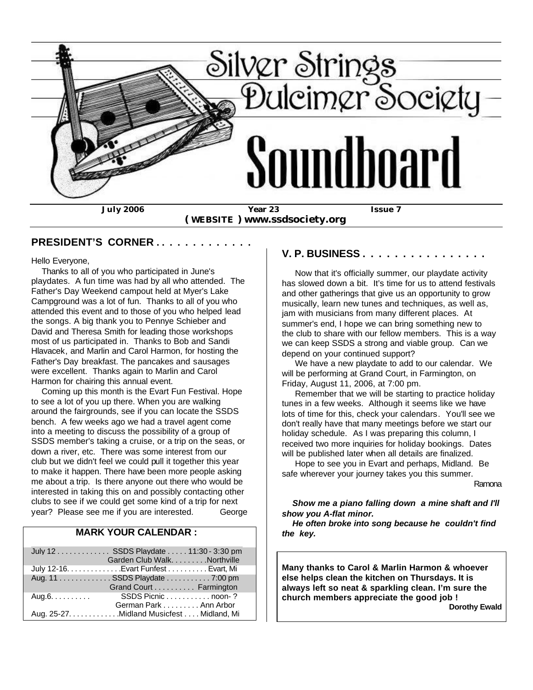

 **( WEBSITE ) www.ssdsociety.org**

#### **PRESIDENT'S CORNER . . . . . . . . . . . . .**

Hello Everyone,

 Thanks to all of you who participated in June's playdates. A fun time was had by all who attended. The Father's Day Weekend campout held at Myer's Lake Campground was a lot of fun. Thanks to all of you who attended this event and to those of you who helped lead the songs. A big thank you to Pennye Schieber and David and Theresa Smith for leading those workshops most of us participated in. Thanks to Bob and Sandi Hlavacek, and Marlin and Carol Harmon, for hosting the Father's Day breakfast. The pancakes and sausages were excellent. Thanks again to Marlin and Carol Harmon for chairing this annual event.

 Coming up this month is the Evart Fun Festival. Hope to see a lot of you up there. When you are walking around the fairgrounds, see if you can locate the SSDS bench. A few weeks ago we had a travel agent come into a meeting to discuss the possibility of a group of SSDS member's taking a cruise, or a trip on the seas, or down a river, etc. There was some interest from our club but we didn't feel we could pull it together this year to make it happen. There have been more people asking me about a trip. Is there anyone out there who would be interested in taking this on and possibly contacting other clubs to see if we could get some kind of a trip for next year? Please see me if you are interested. George

#### **MARK YOUR CALENDAR :**

|                        | July 12 SSDS Playdate 11:30 - 3:30 pm<br>Garden Club Walk. Northville |                    |
|------------------------|-----------------------------------------------------------------------|--------------------|
|                        | July 12-16. Evart Funfest Evart, Mi                                   |                    |
|                        | Aug. 11 SSDS Playdate 7:00 pm                                         |                    |
|                        | Grand Court Farmington                                                |                    |
| $Aug.6. \ldots \ldots$ |                                                                       | SSDS Picnic noon-? |
|                        | German Park Ann Arbor                                                 |                    |
|                        | Aug. 25-27. Midland Musicfest Midland, Mi                             |                    |

#### **V. P. BUSINESS . . . . . . . . . . . . . . . .**

 Now that it's officially summer, our playdate activity has slowed down a bit. It's time for us to attend festivals and other gatherings that give us an opportunity to grow musically, learn new tunes and techniques, as well as, jam with musicians from many different places. At summer's end, I hope we can bring something new to the club to share with our fellow members. This is a way we can keep SSDS a strong and viable group. Can we depend on your continued support?

 We have a new playdate to add to our calendar. We will be performing at Grand Court, in Farmington, on Friday, August 11, 2006, at 7:00 pm.

 Remember that we will be starting to practice holiday tunes in a few weeks. Although it seems like we have lots of time for this, check your calendars. You'll see we don't really have that many meetings before we start our holiday schedule. As I was preparing this column, I received two more inquiries for holiday bookings. Dates will be published later when all details are finalized.

 Hope to see you in Evart and perhaps, Midland. Be safe wherever your journey takes you this summer.

Ramona

#### *Show me a piano falling down a mine shaft and I'll show you A-flat minor.*

 *He often broke into song because he couldn't find the key.*

**Many thanks to Carol & Marlin Harmon & whoever else helps clean the kitchen on Thursdays. It is always left so neat & sparkling clean. I'm sure the church members appreciate the good job !** 

 **Dorothy Ewald**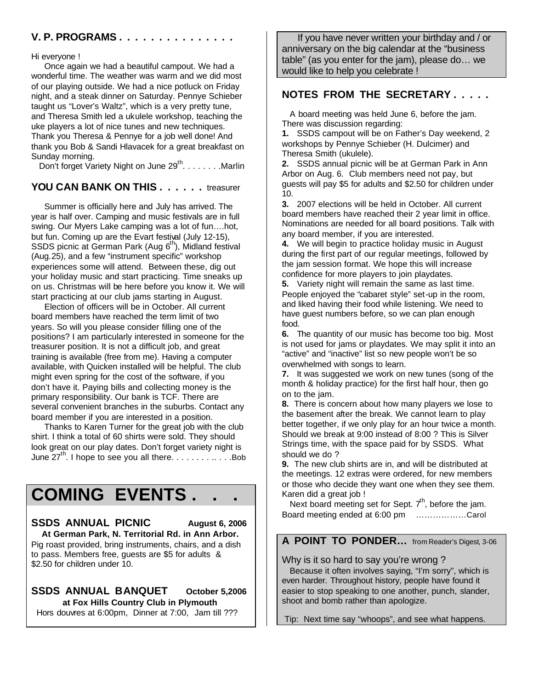#### **V. P. PROGRAMS . . . . . . . . . . . . . . .**

Hi everyone !

 Once again we had a beautiful campout. We had a wonderful time. The weather was warm and we did most of our playing outside. We had a nice potluck on Friday night, and a steak dinner on Saturday. Pennye Schieber taught us "Lover's Waltz", which is a very pretty tune, and Theresa Smith led a ukulele workshop, teaching the uke players a lot of nice tunes and new techniques. Thank you Theresa & Pennye for a job well done! And thank you Bob & Sandi Hlavacek for a great breakfast on Sunday morning.

Don't forget Variety Night on June  $29^{th}$ . . . . . . . . Marlin

## **YOU CAN BANK ON THIS . . . . . .** treasurer

 Summer is officially here and July has arrived. The year is half over. Camping and music festivals are in full swing. Our Myers Lake camping was a lot of fun….hot, but fun. Coming up are the Evart festival (July 12-15), SSDS picnic at German Park (Aug  $6<sup>th</sup>$ ), Midland festival (Aug.25), and a few "instrument specific" workshop experiences some will attend. Between these, dig out your holiday music and start practicing. Time sneaks up on us. Christmas will be here before you know it. We will start practicing at our club jams starting in August.

 Election of officers will be in October. All current board members have reached the term limit of two years. So will you please consider filling one of the positions? I am particularly interested in someone for the treasurer position. It is not a difficult job, and great training is available (free from me). Having a computer available, with Quicken installed will be helpful. The club might even spring for the cost of the software, if you don't have it. Paying bills and collecting money is the primary responsibility. Our bank is TCF. There are several convenient branches in the suburbs. Contact any board member if you are interested in a position.

 Thanks to Karen Turner for the great job with the club shirt. I think a total of 60 shirts were sold. They should look great on our play dates. Don't forget variety night is June  $27^{th}$ . I hope to see you all there. . . . . . . . . . . . . . . Bob

# **COMING EVENTS . . .**

#### **SSDS ANNUAL PICNIC August 6, 2006 At German Park, N. Territorial Rd. in Ann Arbor.** Pig roast provided, bring instruments, chairs, and a dish to pass. Members free, guests are \$5 for adults & \$2.50 for children under 10.

**SSDS ANNUAL BANQUET October 5,2006 at Fox Hills Country Club in Plymouth** Hors douvres at 6:00pm, Dinner at 7:00, Jam till ???

 If you have never written your birthday and / or anniversary on the big calendar at the "business table" (as you enter for the jam), please do… we would like to help you celebrate !

### **NOTES FROM THE SECRETARY . . . . .**

 A board meeting was held June 6, before the jam. There was discussion regarding:

**1.** SSDS campout will be on Father's Day weekend, 2 workshops by Pennye Schieber (H. Dulcimer) and Theresa Smith (ukulele).

**2.** SSDS annual picnic will be at German Park in Ann Arbor on Aug. 6. Club members need not pay, but guests will pay \$5 for adults and \$2.50 for children under 10.

**3.** 2007 elections will be held in October. All current board members have reached their 2 year limit in office. Nominations are needed for all board positions. Talk with any board member, if you are interested.

**4.** We will begin to practice holiday music in August during the first part of our regular meetings, followed by the jam session format. We hope this will increase confidence for more players to join playdates.

**5.** Variety night will remain the same as last time. People enjoyed the "cabaret style" set-up in the room, and liked having their food while listening. We need to have guest numbers before, so we can plan enough food.

**6.** The quantity of our music has become too big. Most is not used for jams or playdates. We may split it into an "active" and "inactive" list so new people won't be so overwhelmed with songs to learn.

**7.** It was suggested we work on new tunes (song of the month & holiday practice) for the first half hour, then go on to the jam.

**8.** There is concern about how many players we lose to the basement after the break. We cannot learn to play better together, if we only play for an hour twice a month. Should we break at 9:00 instead of 8:00 ? This is Silver Strings time, with the space paid for by SSDS. What should we do ?

**9.** The new club shirts are in, and will be distributed at the meetings. 12 extras were ordered, for new members or those who decide they want one when they see them. Karen did a great job !

Next board meeting set for Sept.  $7<sup>th</sup>$ , before the jam. Board meeting ended at 6:00 pm ………………Carol

## **A POINT TO PONDER…** from Reader's Digest, 3-06

Why is it so hard to say you're wrong ?

 Because it often involves saying, "I'm sorry", which is even harder. Throughout history, people have found it easier to stop speaking to one another, punch, slander, shoot and bomb rather than apologize.

Tip: Next time say "whoops", and see what happens.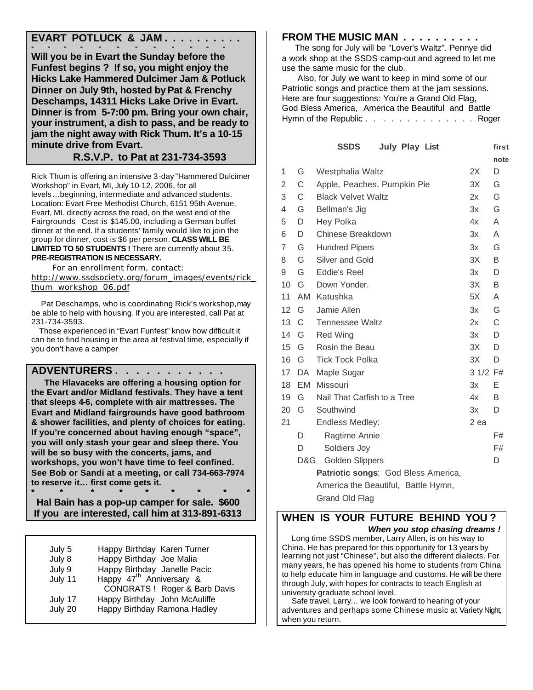## **EVART POTLUCK & JAM . . . . . . . . . .**

**- - - - - - - - - - - - Will you be in Evart the Sunday before the Funfest begins ? If so, you might enjoy the Hicks Lake Hammered Dulcimer Jam & Potluck Dinner on July 9th, hosted by Pat & Frenchy Deschamps, 14311 Hicks Lake Drive in Evart. Dinner is from 5-7:00 pm. Bring your own chair, your instrument, a dish to pass, and be ready to jam the night away with Rick Thum. It's a 10-15 minute drive from Evart.**

 **R.S.V.P. to Pat at 231-734-3593**

Rick Thum is offering an intensive 3-day "Hammered Dulcimer Workshop" in Evart, MI, July 10-12, 2006, for all levels…beginning, intermediate and advanced students. Location: Evart Free Methodist Church, 6151 95th Avenue, Evart, MI. directly across the road, on the west end of the Fairgrounds Cost :is \$145.00, including a German buffet dinner at the end. If a students' family would like to join the group for dinner, cost is \$6 per person. **CLASS WILL BE LIMITED TO 50 STUDENTS !** There are currently about 35. **PRE-REGISTRATION IS NECESSARY.**

 For an enrollment form, contact: http://www.ssdsociety.org/forum\_images/events/rick\_ thum\_workshop\_06.pdf

 Pat Deschamps, who is coordinating Rick's workshop, may be able to help with housing. If you are interested, call Pat at 231-734-3593.

 Those experienced in "Evart Funfest" know how difficult it can be to find housing in the area at festival time, especially if you don't have a camper

#### **ADVENTURERS . . . . . . . . . . .**

 **The Hlavaceks are offering a housing option for the Evart and/or Midland festivals. They have a tent that sleeps 4-6, complete with air mattresses. The Evart and Midland fairgrounds have good bathroom & shower facilities, and plenty of choices for eating. If you're concerned about having enough "space", you will only stash your gear and sleep there. You will be so busy with the concerts, jams, and workshops, you won't have time to feel confined. See Bob or Sandi at a meeting, or call 734-663-7974 to reserve it… first come gets it.**

**\* \* \* \* \* \* \* \* \* Hal Bain has a pop-up camper for sale. \$600 If you are interested, call him at 313-891-6313**

| July 5<br>July 8 | Happy Birthday Karen Turner<br>Happy Birthday Joe Malia |
|------------------|---------------------------------------------------------|
|                  |                                                         |
| July 9           | Happy Birthday Janelle Pacic                            |
| July 11          | Happy 47 <sup>th</sup> Anniversary &                    |
|                  | CONGRATS ! Roger & Barb Davis                           |
| July 17          | Happy Birthday John McAuliffe                           |
| July 20          | Happy Birthday Ramona Hadley                            |

#### **FROM THE MUSIC MAN . . . . . . . . . .**

 The song for July will be "Lover's Waltz". Pennye did a work shop at the SSDS camp-out and agreed to let me use the same music for the club.

 Also, for July we want to keep in mind some of our Patriotic songs and practice them at the jam sessions. Here are four suggestions: You're a Grand Old Flag, God Bless America, America the Beautiful and Battle Hymn of the Republic . . . . . . . . . . . . . Roger

|    |     | <b>SSDS</b><br><b>July Play List</b> |          | first |
|----|-----|--------------------------------------|----------|-------|
|    |     |                                      |          | note  |
| 1  | G   | Westphalia Waltz                     | 2X       | D     |
| 2  | C   | Apple, Peaches, Pumpkin Pie          | 3X       | G     |
| 3  | C   | <b>Black Velvet Waltz</b>            | 2x       | G     |
| 4  | G   | Bellman's Jig                        | 3x       | G     |
| 5  | D   | Hey Polka                            | 4x       | A     |
| 6  | D   | Chinese Breakdown                    | 3x       | A     |
| 7  | G   | <b>Hundred Pipers</b>                | 3x       | G     |
| 8  | G   | Silver and Gold                      | 3X       | B     |
| 9  | G   | Eddie's Reel                         | 3x       | D     |
| 10 | G   | Down Yonder.                         | 3X       | B     |
| 11 |     | AM Katushka                          | 5X       | A     |
| 12 | G   | Jamie Allen                          | 3x       | G     |
| 13 | C   | <b>Tennessee Waltz</b>               | 2x       | C     |
| 14 | G   | <b>Red Wing</b>                      | 3x       | D     |
| 15 | G   | Rosin the Beau                       | 3X       | D     |
| 16 | G   | <b>Tick Tock Polka</b>               | 3X       | D     |
| 17 | DA  | Maple Sugar                          | 3 1/2 F# |       |
| 18 | EM  | Missouri                             | 3x       | Е     |
| 19 | G   | Nail That Catfish to a Tree          | 4x       | B     |
| 20 | G   | Southwind                            | 3x       | D     |
| 21 |     | Endless Medley:                      | 2 ea     |       |
|    | D   | Ragtime Annie                        |          | F#    |
|    | D   | Soldiers Joy                         |          | F#    |
|    | D&G | <b>Golden Slippers</b>               |          | D     |
|    |     | Patriotic songs: God Bless America,  |          |       |
|    |     | America the Beautiful, Battle Hymn,  |          |       |
|    |     | <b>Grand Old Flag</b>                |          |       |

## **WHEN IS YOUR FUTURE BEHIND YOU ?**

 *When you stop chasing dreams !* Long time SSDS member, Larry Allen, is on his way to China. He has prepared for this opportunity for 13 years by learning not just "Chinese", but also the different dialects. For many years, he has opened his home to students from China to help educate him in language and customs. He will be there through July, with hopes for contracts to teach English at university graduate school level.

 Safe travel, Larry… we look forward to hearing of your adventures and perhaps some Chinese music at Variety Night, when you return.